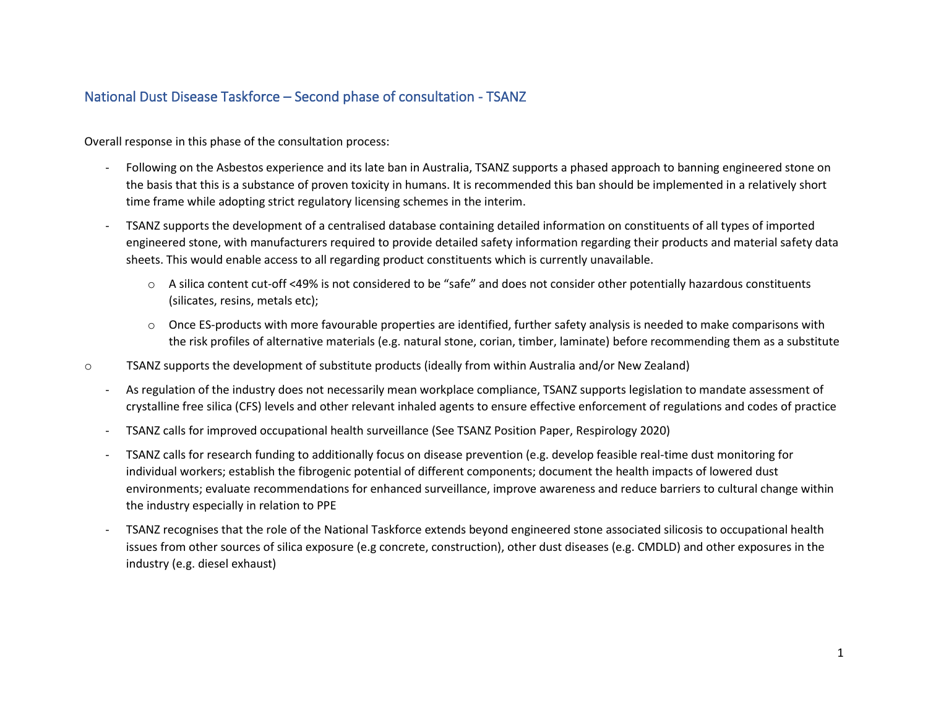## National Dust Disease Taskforce – Second phase of consultation - TSANZ

Overall response in this phase of the consultation process:

- Following on the Asbestos experience and its late ban in Australia, TSANZ supports a phased approach to banning engineered stone on the basis that this is a substance of proven toxicity in humans. It is recommended this ban should be implemented in a relatively short time frame while adopting strict regulatory licensing schemes in the interim.
- TSANZ supports the development of a centralised database containing detailed information on constituents of all types of imported engineered stone, with manufacturers required to provide detailed safety information regarding their products and material safety data sheets. This would enable access to all regarding product constituents which is currently unavailable.
	- o A silica content cut-off <49% is not considered to be "safe" and does not consider other potentially hazardous constituents (silicates, resins, metals etc);
	- o Once ES-products with more favourable properties are identified, further safety analysis is needed to make comparisons with the risk profiles of alternative materials (e.g. natural stone, corian, timber, laminate) before recommending them as a substitute
- o TSANZ supports the development of substitute products (ideally from within Australia and/or New Zealand)
	- As regulation of the industry does not necessarily mean workplace compliance, TSANZ supports legislation to mandate assessment of crystalline free silica (CFS) levels and other relevant inhaled agents to ensure effective enforcement of regulations and codes of practice
	- TSANZ calls for improved occupational health surveillance (See TSANZ Position Paper, Respirology 2020)
	- TSANZ calls for research funding to additionally focus on disease prevention (e.g. develop feasible real-time dust monitoring for individual workers; establish the fibrogenic potential of different components; document the health impacts of lowered dust environments; evaluate recommendations for enhanced surveillance, improve awareness and reduce barriers to cultural change within the industry especially in relation to PPE
	- TSANZ recognises that the role of the National Taskforce extends beyond engineered stone associated silicosis to occupational health issues from other sources of silica exposure (e.g concrete, construction), other dust diseases (e.g. CMDLD) and other exposures in the industry (e.g. diesel exhaust)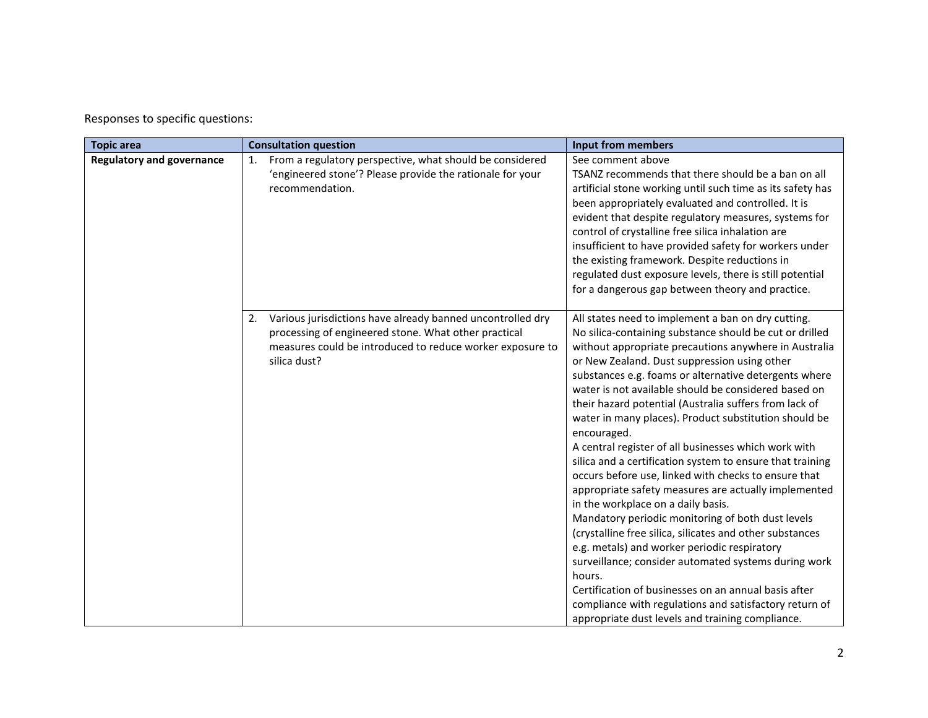Responses to specific questions:

| <b>Topic area</b>                | <b>Consultation question</b>                                                                                                                                                                          | <b>Input from members</b>                                                                                                                                                                                                                                                                                                                                                                                                                                                                                                                                                                                                                                                                                                                                                                                                                                                                                                                                                                                                                                                                                                                                     |
|----------------------------------|-------------------------------------------------------------------------------------------------------------------------------------------------------------------------------------------------------|---------------------------------------------------------------------------------------------------------------------------------------------------------------------------------------------------------------------------------------------------------------------------------------------------------------------------------------------------------------------------------------------------------------------------------------------------------------------------------------------------------------------------------------------------------------------------------------------------------------------------------------------------------------------------------------------------------------------------------------------------------------------------------------------------------------------------------------------------------------------------------------------------------------------------------------------------------------------------------------------------------------------------------------------------------------------------------------------------------------------------------------------------------------|
| <b>Regulatory and governance</b> | From a regulatory perspective, what should be considered<br>1.<br>'engineered stone'? Please provide the rationale for your<br>recommendation.                                                        | See comment above<br>TSANZ recommends that there should be a ban on all<br>artificial stone working until such time as its safety has<br>been appropriately evaluated and controlled. It is<br>evident that despite regulatory measures, systems for<br>control of crystalline free silica inhalation are<br>insufficient to have provided safety for workers under<br>the existing framework. Despite reductions in<br>regulated dust exposure levels, there is still potential<br>for a dangerous gap between theory and practice.                                                                                                                                                                                                                                                                                                                                                                                                                                                                                                                                                                                                                          |
|                                  | Various jurisdictions have already banned uncontrolled dry<br>2.<br>processing of engineered stone. What other practical<br>measures could be introduced to reduce worker exposure to<br>silica dust? | All states need to implement a ban on dry cutting.<br>No silica-containing substance should be cut or drilled<br>without appropriate precautions anywhere in Australia<br>or New Zealand. Dust suppression using other<br>substances e.g. foams or alternative detergents where<br>water is not available should be considered based on<br>their hazard potential (Australia suffers from lack of<br>water in many places). Product substitution should be<br>encouraged.<br>A central register of all businesses which work with<br>silica and a certification system to ensure that training<br>occurs before use, linked with checks to ensure that<br>appropriate safety measures are actually implemented<br>in the workplace on a daily basis.<br>Mandatory periodic monitoring of both dust levels<br>(crystalline free silica, silicates and other substances<br>e.g. metals) and worker periodic respiratory<br>surveillance; consider automated systems during work<br>hours.<br>Certification of businesses on an annual basis after<br>compliance with regulations and satisfactory return of<br>appropriate dust levels and training compliance. |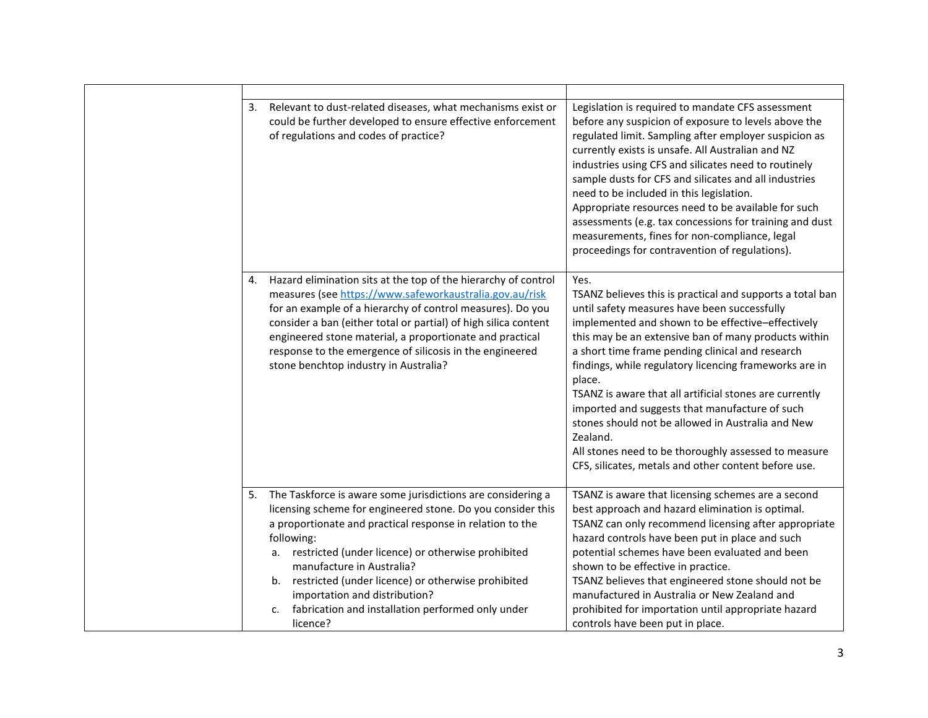| Relevant to dust-related diseases, what mechanisms exist or<br>3.<br>could be further developed to ensure effective enforcement<br>of regulations and codes of practice?                                                                                                                                                                                                                                                                                              | Legislation is required to mandate CFS assessment<br>before any suspicion of exposure to levels above the<br>regulated limit. Sampling after employer suspicion as<br>currently exists is unsafe. All Australian and NZ<br>industries using CFS and silicates need to routinely<br>sample dusts for CFS and silicates and all industries<br>need to be included in this legislation.<br>Appropriate resources need to be available for such<br>assessments (e.g. tax concessions for training and dust<br>measurements, fines for non-compliance, legal<br>proceedings for contravention of regulations).                                            |
|-----------------------------------------------------------------------------------------------------------------------------------------------------------------------------------------------------------------------------------------------------------------------------------------------------------------------------------------------------------------------------------------------------------------------------------------------------------------------|------------------------------------------------------------------------------------------------------------------------------------------------------------------------------------------------------------------------------------------------------------------------------------------------------------------------------------------------------------------------------------------------------------------------------------------------------------------------------------------------------------------------------------------------------------------------------------------------------------------------------------------------------|
| Hazard elimination sits at the top of the hierarchy of control<br>4.<br>measures (see https://www.safeworkaustralia.gov.au/risk<br>for an example of a hierarchy of control measures). Do you<br>consider a ban (either total or partial) of high silica content<br>engineered stone material, a proportionate and practical<br>response to the emergence of silicosis in the engineered<br>stone benchtop industry in Australia?                                     | Yes.<br>TSANZ believes this is practical and supports a total ban<br>until safety measures have been successfully<br>implemented and shown to be effective-effectively<br>this may be an extensive ban of many products within<br>a short time frame pending clinical and research<br>findings, while regulatory licencing frameworks are in<br>place.<br>TSANZ is aware that all artificial stones are currently<br>imported and suggests that manufacture of such<br>stones should not be allowed in Australia and New<br>Zealand.<br>All stones need to be thoroughly assessed to measure<br>CFS, silicates, metals and other content before use. |
| The Taskforce is aware some jurisdictions are considering a<br>5.<br>licensing scheme for engineered stone. Do you consider this<br>a proportionate and practical response in relation to the<br>following:<br>restricted (under licence) or otherwise prohibited<br>а.<br>manufacture in Australia?<br>b. restricted (under licence) or otherwise prohibited<br>importation and distribution?<br>fabrication and installation performed only under<br>c.<br>licence? | TSANZ is aware that licensing schemes are a second<br>best approach and hazard elimination is optimal.<br>TSANZ can only recommend licensing after appropriate<br>hazard controls have been put in place and such<br>potential schemes have been evaluated and been<br>shown to be effective in practice.<br>TSANZ believes that engineered stone should not be<br>manufactured in Australia or New Zealand and<br>prohibited for importation until appropriate hazard<br>controls have been put in place.                                                                                                                                           |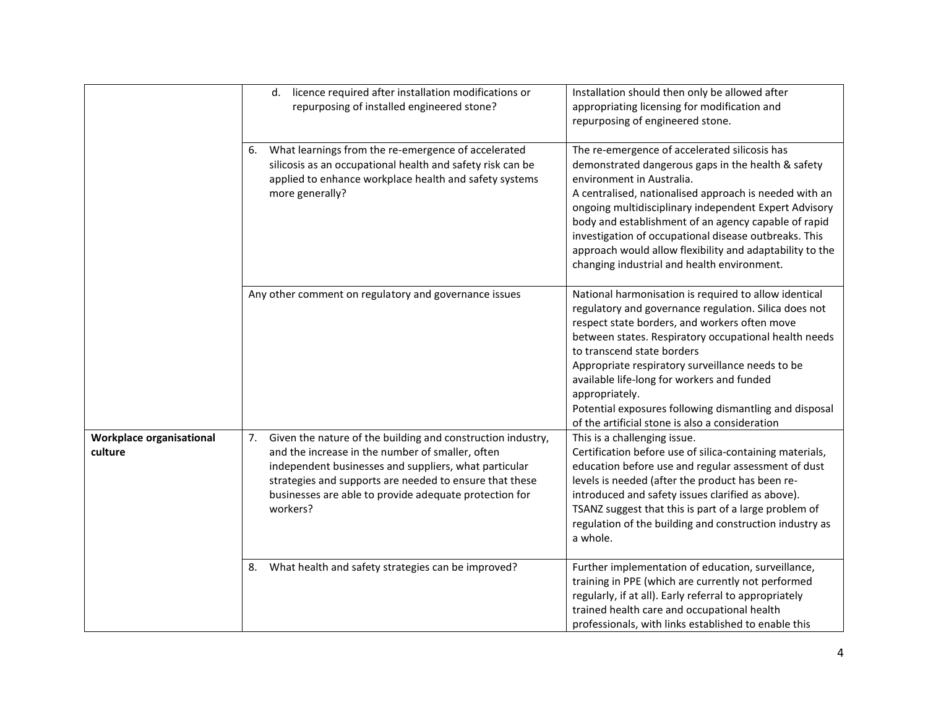|                                     | licence required after installation modifications or<br>d.<br>repurposing of installed engineered stone?                                                                                                                                                                                                     | Installation should then only be allowed after<br>appropriating licensing for modification and<br>repurposing of engineered stone.                                                                                                                                                                                                                                                                                                                                                      |
|-------------------------------------|--------------------------------------------------------------------------------------------------------------------------------------------------------------------------------------------------------------------------------------------------------------------------------------------------------------|-----------------------------------------------------------------------------------------------------------------------------------------------------------------------------------------------------------------------------------------------------------------------------------------------------------------------------------------------------------------------------------------------------------------------------------------------------------------------------------------|
|                                     | What learnings from the re-emergence of accelerated<br>6.<br>silicosis as an occupational health and safety risk can be<br>applied to enhance workplace health and safety systems<br>more generally?                                                                                                         | The re-emergence of accelerated silicosis has<br>demonstrated dangerous gaps in the health & safety<br>environment in Australia.<br>A centralised, nationalised approach is needed with an<br>ongoing multidisciplinary independent Expert Advisory<br>body and establishment of an agency capable of rapid<br>investigation of occupational disease outbreaks. This<br>approach would allow flexibility and adaptability to the<br>changing industrial and health environment.         |
|                                     | Any other comment on regulatory and governance issues                                                                                                                                                                                                                                                        | National harmonisation is required to allow identical<br>regulatory and governance regulation. Silica does not<br>respect state borders, and workers often move<br>between states. Respiratory occupational health needs<br>to transcend state borders<br>Appropriate respiratory surveillance needs to be<br>available life-long for workers and funded<br>appropriately.<br>Potential exposures following dismantling and disposal<br>of the artificial stone is also a consideration |
| Workplace organisational<br>culture | 7. Given the nature of the building and construction industry,<br>and the increase in the number of smaller, often<br>independent businesses and suppliers, what particular<br>strategies and supports are needed to ensure that these<br>businesses are able to provide adequate protection for<br>workers? | This is a challenging issue.<br>Certification before use of silica-containing materials,<br>education before use and regular assessment of dust<br>levels is needed (after the product has been re-<br>introduced and safety issues clarified as above).<br>TSANZ suggest that this is part of a large problem of<br>regulation of the building and construction industry as<br>a whole.                                                                                                |
|                                     | What health and safety strategies can be improved?<br>8.                                                                                                                                                                                                                                                     | Further implementation of education, surveillance,<br>training in PPE (which are currently not performed<br>regularly, if at all). Early referral to appropriately<br>trained health care and occupational health<br>professionals, with links established to enable this                                                                                                                                                                                                               |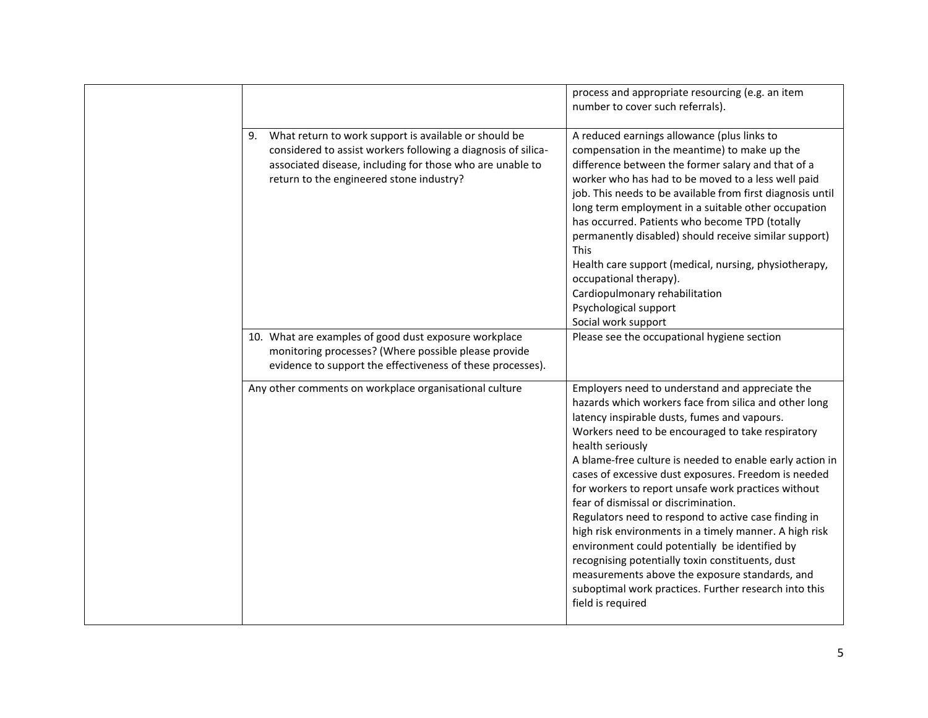|                                                                                                                                                                                                                                       | process and appropriate resourcing (e.g. an item<br>number to cover such referrals).                                                                                                                                                                                                                                                                                                                                                                                                                                                                                                                                                                                                                                                                                                                         |
|---------------------------------------------------------------------------------------------------------------------------------------------------------------------------------------------------------------------------------------|--------------------------------------------------------------------------------------------------------------------------------------------------------------------------------------------------------------------------------------------------------------------------------------------------------------------------------------------------------------------------------------------------------------------------------------------------------------------------------------------------------------------------------------------------------------------------------------------------------------------------------------------------------------------------------------------------------------------------------------------------------------------------------------------------------------|
| What return to work support is available or should be<br>9.<br>considered to assist workers following a diagnosis of silica-<br>associated disease, including for those who are unable to<br>return to the engineered stone industry? | A reduced earnings allowance (plus links to<br>compensation in the meantime) to make up the<br>difference between the former salary and that of a<br>worker who has had to be moved to a less well paid<br>job. This needs to be available from first diagnosis until<br>long term employment in a suitable other occupation<br>has occurred. Patients who become TPD (totally<br>permanently disabled) should receive similar support)<br><b>This</b><br>Health care support (medical, nursing, physiotherapy,<br>occupational therapy).<br>Cardiopulmonary rehabilitation<br>Psychological support<br>Social work support                                                                                                                                                                                  |
| 10. What are examples of good dust exposure workplace<br>monitoring processes? (Where possible please provide<br>evidence to support the effectiveness of these processes).                                                           | Please see the occupational hygiene section                                                                                                                                                                                                                                                                                                                                                                                                                                                                                                                                                                                                                                                                                                                                                                  |
| Any other comments on workplace organisational culture                                                                                                                                                                                | Employers need to understand and appreciate the<br>hazards which workers face from silica and other long<br>latency inspirable dusts, fumes and vapours.<br>Workers need to be encouraged to take respiratory<br>health seriously<br>A blame-free culture is needed to enable early action in<br>cases of excessive dust exposures. Freedom is needed<br>for workers to report unsafe work practices without<br>fear of dismissal or discrimination.<br>Regulators need to respond to active case finding in<br>high risk environments in a timely manner. A high risk<br>environment could potentially be identified by<br>recognising potentially toxin constituents, dust<br>measurements above the exposure standards, and<br>suboptimal work practices. Further research into this<br>field is required |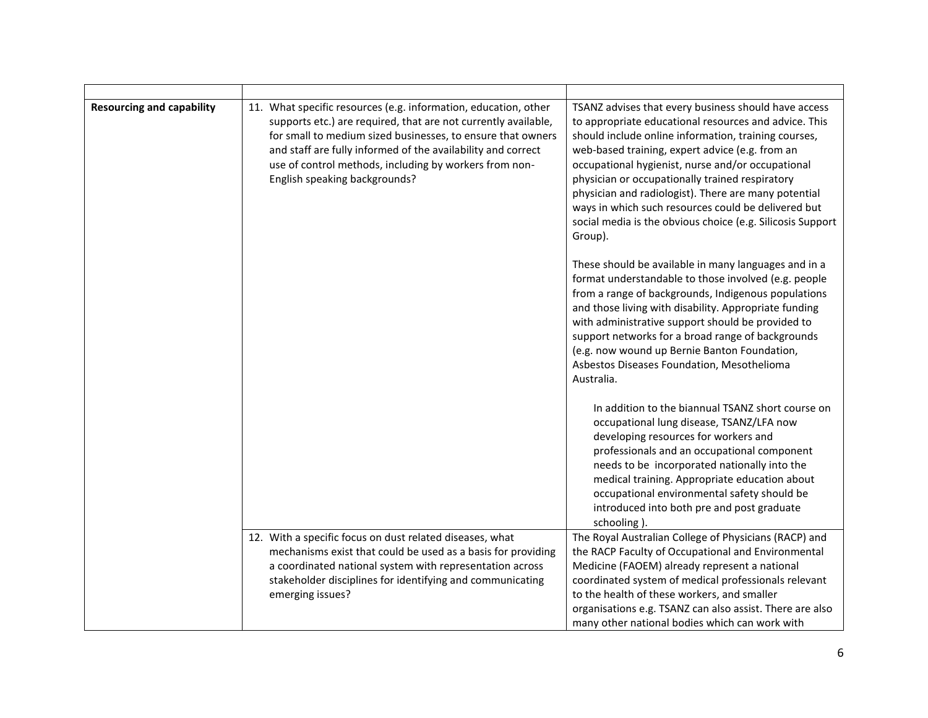| <b>Resourcing and capability</b> | 11. What specific resources (e.g. information, education, other<br>supports etc.) are required, that are not currently available,<br>for small to medium sized businesses, to ensure that owners<br>and staff are fully informed of the availability and correct<br>use of control methods, including by workers from non-<br>English speaking backgrounds? | TSANZ advises that every business should have access<br>to appropriate educational resources and advice. This<br>should include online information, training courses,<br>web-based training, expert advice (e.g. from an<br>occupational hygienist, nurse and/or occupational<br>physician or occupationally trained respiratory<br>physician and radiologist). There are many potential<br>ways in which such resources could be delivered but<br>social media is the obvious choice (e.g. Silicosis Support<br>Group). |
|----------------------------------|-------------------------------------------------------------------------------------------------------------------------------------------------------------------------------------------------------------------------------------------------------------------------------------------------------------------------------------------------------------|--------------------------------------------------------------------------------------------------------------------------------------------------------------------------------------------------------------------------------------------------------------------------------------------------------------------------------------------------------------------------------------------------------------------------------------------------------------------------------------------------------------------------|
|                                  |                                                                                                                                                                                                                                                                                                                                                             | These should be available in many languages and in a<br>format understandable to those involved (e.g. people<br>from a range of backgrounds, Indigenous populations<br>and those living with disability. Appropriate funding<br>with administrative support should be provided to<br>support networks for a broad range of backgrounds<br>(e.g. now wound up Bernie Banton Foundation,<br>Asbestos Diseases Foundation, Mesothelioma<br>Australia.                                                                       |
|                                  |                                                                                                                                                                                                                                                                                                                                                             | In addition to the biannual TSANZ short course on<br>occupational lung disease, TSANZ/LFA now<br>developing resources for workers and<br>professionals and an occupational component<br>needs to be incorporated nationally into the<br>medical training. Appropriate education about<br>occupational environmental safety should be<br>introduced into both pre and post graduate<br>schooling).                                                                                                                        |
|                                  | 12. With a specific focus on dust related diseases, what<br>mechanisms exist that could be used as a basis for providing<br>a coordinated national system with representation across<br>stakeholder disciplines for identifying and communicating<br>emerging issues?                                                                                       | The Royal Australian College of Physicians (RACP) and<br>the RACP Faculty of Occupational and Environmental<br>Medicine (FAOEM) already represent a national<br>coordinated system of medical professionals relevant<br>to the health of these workers, and smaller<br>organisations e.g. TSANZ can also assist. There are also<br>many other national bodies which can work with                                                                                                                                        |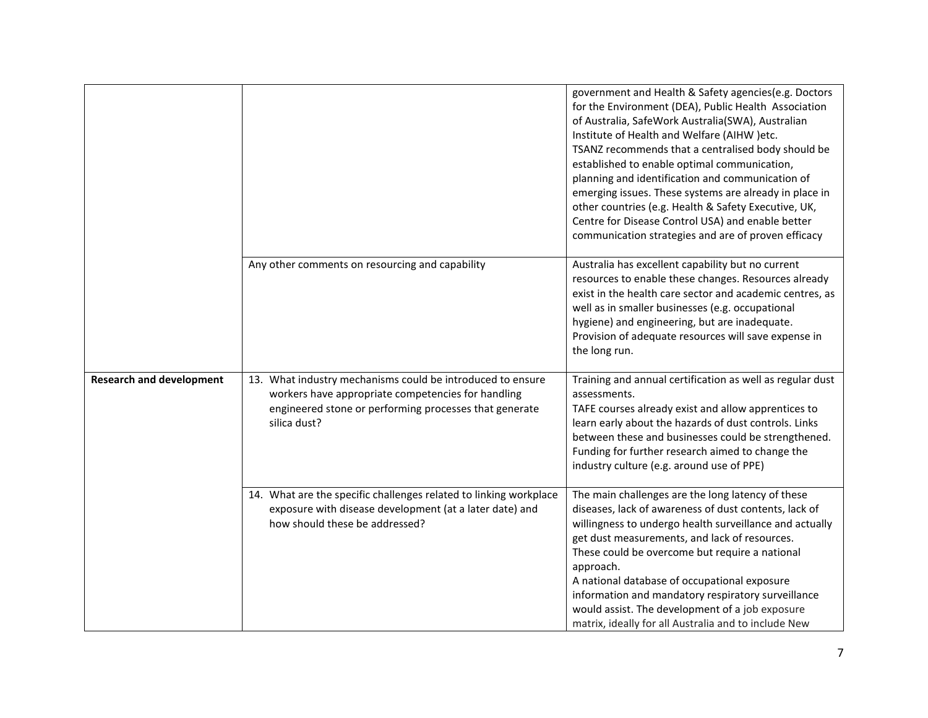|                                 |                                                                                                                                                                                            | government and Health & Safety agencies(e.g. Doctors<br>for the Environment (DEA), Public Health Association<br>of Australia, SafeWork Australia(SWA), Australian<br>Institute of Health and Welfare (AIHW )etc.<br>TSANZ recommends that a centralised body should be<br>established to enable optimal communication,<br>planning and identification and communication of<br>emerging issues. These systems are already in place in<br>other countries (e.g. Health & Safety Executive, UK,<br>Centre for Disease Control USA) and enable better<br>communication strategies and are of proven efficacy |
|---------------------------------|--------------------------------------------------------------------------------------------------------------------------------------------------------------------------------------------|----------------------------------------------------------------------------------------------------------------------------------------------------------------------------------------------------------------------------------------------------------------------------------------------------------------------------------------------------------------------------------------------------------------------------------------------------------------------------------------------------------------------------------------------------------------------------------------------------------|
|                                 | Any other comments on resourcing and capability                                                                                                                                            | Australia has excellent capability but no current<br>resources to enable these changes. Resources already<br>exist in the health care sector and academic centres, as<br>well as in smaller businesses (e.g. occupational<br>hygiene) and engineering, but are inadequate.<br>Provision of adequate resources will save expense in<br>the long run.                                                                                                                                                                                                                                                      |
| <b>Research and development</b> | 13. What industry mechanisms could be introduced to ensure<br>workers have appropriate competencies for handling<br>engineered stone or performing processes that generate<br>silica dust? | Training and annual certification as well as regular dust<br>assessments.<br>TAFE courses already exist and allow apprentices to<br>learn early about the hazards of dust controls. Links<br>between these and businesses could be strengthened.<br>Funding for further research aimed to change the<br>industry culture (e.g. around use of PPE)                                                                                                                                                                                                                                                        |
|                                 | 14. What are the specific challenges related to linking workplace<br>exposure with disease development (at a later date) and<br>how should these be addressed?                             | The main challenges are the long latency of these<br>diseases, lack of awareness of dust contents, lack of<br>willingness to undergo health surveillance and actually<br>get dust measurements, and lack of resources.<br>These could be overcome but require a national<br>approach.<br>A national database of occupational exposure<br>information and mandatory respiratory surveillance<br>would assist. The development of a job exposure<br>matrix, ideally for all Australia and to include New                                                                                                   |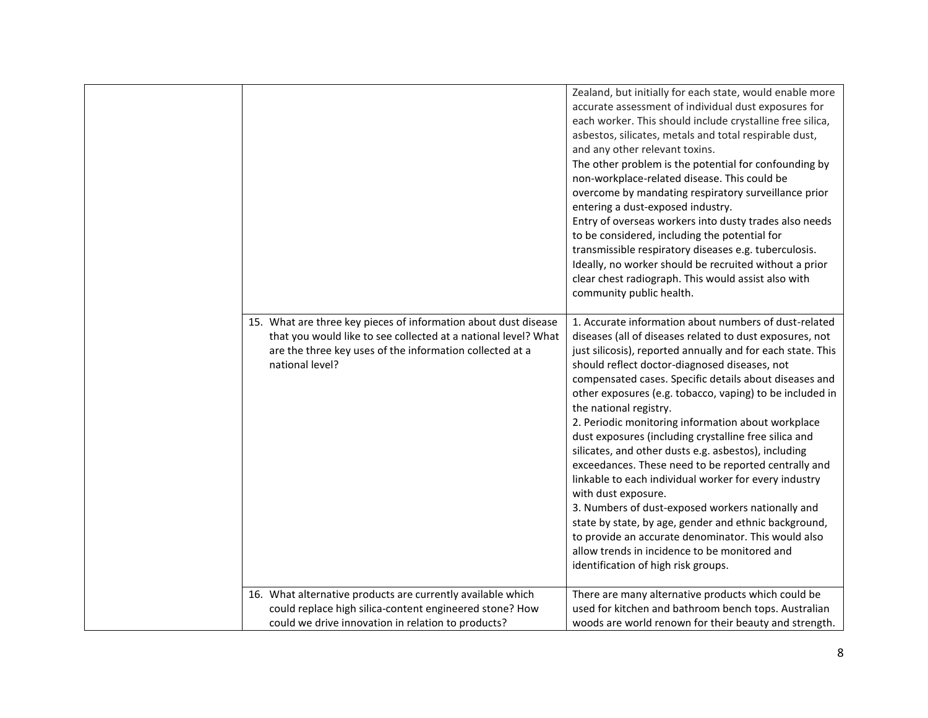|                                                                                                                                                                                                                  | Zealand, but initially for each state, would enable more<br>accurate assessment of individual dust exposures for<br>each worker. This should include crystalline free silica,<br>asbestos, silicates, metals and total respirable dust,<br>and any other relevant toxins.<br>The other problem is the potential for confounding by<br>non-workplace-related disease. This could be<br>overcome by mandating respiratory surveillance prior<br>entering a dust-exposed industry.<br>Entry of overseas workers into dusty trades also needs<br>to be considered, including the potential for<br>transmissible respiratory diseases e.g. tuberculosis.<br>Ideally, no worker should be recruited without a prior<br>clear chest radiograph. This would assist also with<br>community public health.                                                                                                                                                              |
|------------------------------------------------------------------------------------------------------------------------------------------------------------------------------------------------------------------|---------------------------------------------------------------------------------------------------------------------------------------------------------------------------------------------------------------------------------------------------------------------------------------------------------------------------------------------------------------------------------------------------------------------------------------------------------------------------------------------------------------------------------------------------------------------------------------------------------------------------------------------------------------------------------------------------------------------------------------------------------------------------------------------------------------------------------------------------------------------------------------------------------------------------------------------------------------|
| 15. What are three key pieces of information about dust disease<br>that you would like to see collected at a national level? What<br>are the three key uses of the information collected at a<br>national level? | 1. Accurate information about numbers of dust-related<br>diseases (all of diseases related to dust exposures, not<br>just silicosis), reported annually and for each state. This<br>should reflect doctor-diagnosed diseases, not<br>compensated cases. Specific details about diseases and<br>other exposures (e.g. tobacco, vaping) to be included in<br>the national registry.<br>2. Periodic monitoring information about workplace<br>dust exposures (including crystalline free silica and<br>silicates, and other dusts e.g. asbestos), including<br>exceedances. These need to be reported centrally and<br>linkable to each individual worker for every industry<br>with dust exposure.<br>3. Numbers of dust-exposed workers nationally and<br>state by state, by age, gender and ethnic background,<br>to provide an accurate denominator. This would also<br>allow trends in incidence to be monitored and<br>identification of high risk groups. |
| 16. What alternative products are currently available which<br>could replace high silica-content engineered stone? How<br>could we drive innovation in relation to products?                                     | There are many alternative products which could be<br>used for kitchen and bathroom bench tops. Australian<br>woods are world renown for their beauty and strength.                                                                                                                                                                                                                                                                                                                                                                                                                                                                                                                                                                                                                                                                                                                                                                                           |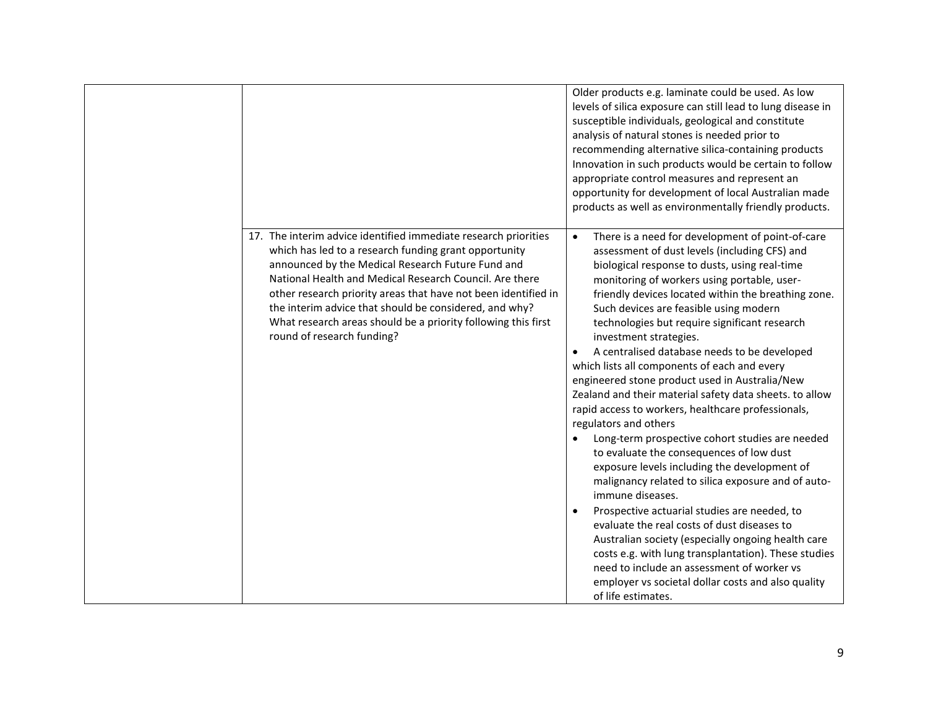|                                                                                                                                                                                                                                                                                                                                                                                                                                                                     | Older products e.g. laminate could be used. As low<br>levels of silica exposure can still lead to lung disease in<br>susceptible individuals, geological and constitute<br>analysis of natural stones is needed prior to<br>recommending alternative silica-containing products<br>Innovation in such products would be certain to follow<br>appropriate control measures and represent an<br>opportunity for development of local Australian made<br>products as well as environmentally friendly products.                                                                                                                                                                                                                                                                                                                                                                                                                                                                                                                                                                                                                                                                                                                                                                     |
|---------------------------------------------------------------------------------------------------------------------------------------------------------------------------------------------------------------------------------------------------------------------------------------------------------------------------------------------------------------------------------------------------------------------------------------------------------------------|----------------------------------------------------------------------------------------------------------------------------------------------------------------------------------------------------------------------------------------------------------------------------------------------------------------------------------------------------------------------------------------------------------------------------------------------------------------------------------------------------------------------------------------------------------------------------------------------------------------------------------------------------------------------------------------------------------------------------------------------------------------------------------------------------------------------------------------------------------------------------------------------------------------------------------------------------------------------------------------------------------------------------------------------------------------------------------------------------------------------------------------------------------------------------------------------------------------------------------------------------------------------------------|
| 17. The interim advice identified immediate research priorities<br>which has led to a research funding grant opportunity<br>announced by the Medical Research Future Fund and<br>National Health and Medical Research Council. Are there<br>other research priority areas that have not been identified in<br>the interim advice that should be considered, and why?<br>What research areas should be a priority following this first<br>round of research funding? | There is a need for development of point-of-care<br>$\bullet$<br>assessment of dust levels (including CFS) and<br>biological response to dusts, using real-time<br>monitoring of workers using portable, user-<br>friendly devices located within the breathing zone.<br>Such devices are feasible using modern<br>technologies but require significant research<br>investment strategies.<br>A centralised database needs to be developed<br>$\bullet$<br>which lists all components of each and every<br>engineered stone product used in Australia/New<br>Zealand and their material safety data sheets. to allow<br>rapid access to workers, healthcare professionals,<br>regulators and others<br>Long-term prospective cohort studies are needed<br>to evaluate the consequences of low dust<br>exposure levels including the development of<br>malignancy related to silica exposure and of auto-<br>immune diseases.<br>Prospective actuarial studies are needed, to<br>$\bullet$<br>evaluate the real costs of dust diseases to<br>Australian society (especially ongoing health care<br>costs e.g. with lung transplantation). These studies<br>need to include an assessment of worker vs<br>employer vs societal dollar costs and also quality<br>of life estimates. |